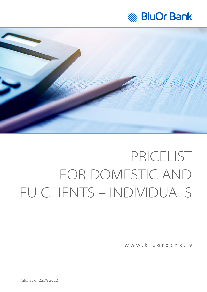



[www.bluorbank.lv](https://www.bluorbank.lv/en/index)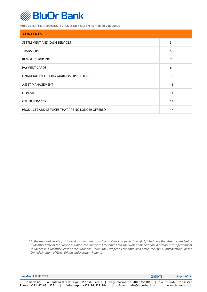

| <b>CONTENTS</b>                                  |    |
|--------------------------------------------------|----|
| SETTLEMENT AND CASH SERVICES                     | 3  |
| <b>TRANSFERS</b>                                 | 5  |
| REMOTE SERVICING                                 | 7  |
| PAYMENT CARDS                                    | 8  |
| FINANCIAL AND EQUITY MARKETS OPERATIONS          | 10 |
| ASSET MANAGEMENT                                 | 13 |
| <b>DEPOSITS</b>                                  | 14 |
| <b>OTHER SERVICES</b>                            | 15 |
| PRODUCTS AND SERVICES THAT ARE NO LONGER OFFERED | 17 |

\* *In the standard Pricelist, an individual is regarded as a Client of the European Union (EU), if he/she is the citizen or resident of a Member State of the European Union, the European Economic Area, the Swiss Confederation (a person with a permanent residence in a Member State of the European Union, the European Economic Area State, the Swiss Confederation, or the United Kingdom of Great Britain and Northern Ireland).*

| Valid as of 22.08.2022                                                                                         | <b>CONTENTS</b>                                           | Page 2 of 18                             |
|----------------------------------------------------------------------------------------------------------------|-----------------------------------------------------------|------------------------------------------|
| BluOr Bank AS   6 Smilshu street. Riga. LV-1050. Latvia<br>WhatsApp: +371 26 552 244<br>Phone: +371 67 031 333 | Registration No. 40003551060<br>E-mail: info@bluorbank.lv | SWIFT code: CBBRLV22<br>www.bluorbank.lv |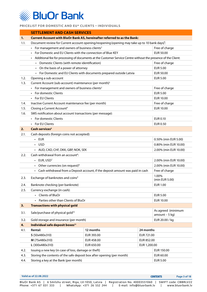<span id="page-2-0"></span>

|      | <b>SETTLEMENT AND CASH SERVICES</b>                                                                           |                                                                                  |              |                                       |
|------|---------------------------------------------------------------------------------------------------------------|----------------------------------------------------------------------------------|--------------|---------------------------------------|
| 1.   | <b>Current Account with BluOr Bank AS, hereinafter referred to as the Bank:</b>                               |                                                                                  |              |                                       |
| 1.1. | Document review for Current account opening/reopening (opening may take up to 10 bank days) <sup>1</sup> :    |                                                                                  |              |                                       |
|      | • For management and owners of business clients <sup>2</sup>                                                  |                                                                                  |              | Free of charge                        |
|      | For Domestic and EU Clients with the connection of Blue KEY                                                   |                                                                                  |              | <b>EUR 50.00</b>                      |
|      | Additional fee for processing of documents at the Customer Service Centre without the presence of the Client: |                                                                                  |              |                                       |
|      | • Domestic Clients (with remote identification)                                                               |                                                                                  |              | Free of charge                        |
|      | • On the basis of a power of attorney                                                                         |                                                                                  |              | <b>EUR 5.00</b>                       |
|      |                                                                                                               | • For Domestic and EU Clients with documents prepared outside Latvia             |              | <b>EUR 50.00</b>                      |
| 1.2. | Opening a sub-account                                                                                         |                                                                                  |              | <b>EUR 5.00</b>                       |
| 1.3. | Current Account (sub-account) maintenance (per month) <sup>3</sup>                                            |                                                                                  |              |                                       |
|      | • For management and owners of business clients <sup>2</sup>                                                  |                                                                                  |              | Free of charge                        |
|      | • For domestic Clients                                                                                        |                                                                                  |              | <b>EUR 5.00</b>                       |
|      | • For EU Clients                                                                                              |                                                                                  |              | <b>EUR 10.00</b>                      |
| 1.4. | Inactive Current Account maintenance fee (per month)                                                          |                                                                                  |              | Free of charge                        |
| 1.5. | Closing a Current Account <sup>4</sup>                                                                        |                                                                                  |              | <b>EUR 10.00</b>                      |
| 1.6. | SMS notification about account transactions (per message):                                                    |                                                                                  |              |                                       |
|      | • For domestic Clients                                                                                        |                                                                                  |              | EUR 0.10                              |
|      | • For EU Clients                                                                                              |                                                                                  |              | <b>EUR 0.50</b>                       |
| 2.   | Cash services <sup>5</sup>                                                                                    |                                                                                  |              |                                       |
| 2.1. | Cash deposits (foreign coins not accepted):                                                                   |                                                                                  |              |                                       |
|      | $\cdot$ EUR                                                                                                   |                                                                                  |              | 0.50% (min EUR 5.00)                  |
|      | • USD                                                                                                         |                                                                                  |              | 0.80% (min EUR 10.00)                 |
|      | • AUD, CAD, CHF, DKK, GBP, NOK, SEK                                                                           |                                                                                  |              | 2.00% (min EUR 10.00)                 |
| 2.2. | Cash withdrawal from an account <sup>6</sup> :                                                                |                                                                                  |              |                                       |
|      | $\cdot$ EUR, USD <sup>7</sup><br>2.00% (min EUR 10.00)                                                        |                                                                                  |              |                                       |
|      | • Other currencies (on request) <sup>8</sup>                                                                  |                                                                                  |              | 2.00% (min EUR 10.00)                 |
|      |                                                                                                               | • Cash withdrawal from a Deposit account, if the deposit amount was paid in cash |              | Free of charge                        |
| 2.3. | Exchange of banknotes and coins <sup>9</sup>                                                                  |                                                                                  |              | 1.00%<br>(min EUR 5.00)               |
| 2.4. | Banknote checking (per banknote)                                                                              |                                                                                  |              | <b>EUR 1.00</b>                       |
| 2.5. | Currency exchange (in cash):                                                                                  |                                                                                  |              |                                       |
|      | • Clients of BluOr                                                                                            |                                                                                  |              | <b>EUR 5.00</b>                       |
|      | Parties other than Clients of BluOr                                                                           |                                                                                  |              | <b>EUR 10.00</b>                      |
| 3.   | <b>Transactions with physical gold</b>                                                                        |                                                                                  |              |                                       |
| 3.1. | Sale/purchase of physical gold <sup>10</sup>                                                                  |                                                                                  |              | As agreed (minimum<br>$amount - 5 kg$ |
| 3.2. | Gold storage and insurance (per month)                                                                        |                                                                                  |              | EUR 20.00 / kg                        |
| 4.   | Individual safe deposit boxes <sup>11</sup>                                                                   |                                                                                  |              |                                       |
| 4.1. | Rental:                                                                                                       | 12 months                                                                        | 24 months    |                                       |
|      | S (50x480x310)                                                                                                | EUR 393.00                                                                       | EUR 721.00   |                                       |
|      | M (75x480x310)                                                                                                | EUR 458.00                                                                       | EUR 852.00   |                                       |
|      | L (300x480x310)                                                                                               | EUR 650.00                                                                       | EUR 1,200.00 |                                       |
| 4.2. | Issuing a new key (in case of loss, damage or theft)                                                          |                                                                                  |              | EUR 150.00                            |
| 4.3. | Storing the contents of the safe deposit box after opening (per month)                                        |                                                                                  |              | EUR 60.00                             |
| 4.4. | Storing a key at the Bank (per month)                                                                         |                                                                                  |              | <b>EUR 5.00</b>                       |

| Valid as of 22.08.2022                                                                                        | <b>CONTENTS</b>           | Page 3 of 18     |
|---------------------------------------------------------------------------------------------------------------|---------------------------|------------------|
| BluOr Bank AS   6 Smilshu street, Riga, LV-1050, Latvia   Registration No. 40003551060   SWIFT code: CBBRLV22 |                           |                  |
| Phone: +371 67 031 333<br>WhatsApp: +371 26 552 244                                                           | E-mail: info@bluorbank.lv | www.bluorbank.lv |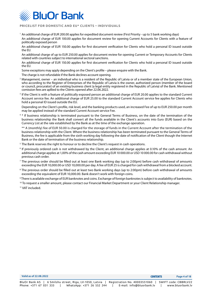

<sup>1</sup> An additional charge of EUR 200.00 applies for expedited document review (First Priority - up to 5 bank working days) An additional charge of EUR 100.00 applies for document review for opening Current Accounts for Clients with a feature of politically exposed person

An additional charge of EUR 150.00 applies for first document verification for Clients who hold a personal ID issued outside the EU.

An additional charge of up to EUR 250.00 applies for document review for opening Current or Temporary Accounts for Clients related with countries subject to international sectoral sanctions.

An additional charge of EUR 150.00 applies for first document verification for Clients who hold a personal ID issued outside the EU.

Some exceptions may apply depending on the Client's profile – please enquire with the Bank.

The charge is not refundable if the Bank declines account opening.

- 2 Management, owner – an individual who is a resident of the Republic of Latvia or of a member state of the European Union, who according to the Register of Enterprises of the Republic of Latvia is the owner, authorized person (member of the board or council, procurator) of an existing business client (a legal entity registered in the Republic of Latvia) of the Bank. Mentioned comission fees are apllied to the Clients opened after 22.06.2022.
- <sup>3</sup> If the Client is with a feature of politically exposed person an additional charge of EUR 20.00 applies to the standard Current Account service fee. An additional charge of EUR 25.00 to the standard Current Account service fee applies for Clients who hold a personal ID issued outside the EU.

Depending on the Client's profile, risk level, and the banking products used, an increased Fee of up to EUR 250.00 per month may be applied instead of the standard Current Account service Fee.

4 \* If business relationship is terminated pursuant to the General Terms of Business, on the date of the termination of the business relationship the Bank shall convert all the funds available in the Client's accounts into Euro (EUR) based on the Currency List at the rate established by the Bank as at the time of the exchange operation.

\*\* A (monthly) fee of EUR 50.00 is charged for the storage of funds in the Current Account after the termination of the business relationship with the Client. Where the business relationship has been terminated pursuant to the General Terms of Business, the fee is applicable from the sixth working day following the date of notification of the Client though the Internet Bank or the date of termination of the business relationship.

- <sup>5</sup> The Bank reserves the right to honour or to decline the Client's request in cash operations.
- 6 If previously ordered cash is not withdrawed by the Client, an additional charge applies at 0.10% of the cash amount. An additional charge applies at 1,00% of the cash amount exceeding EUR 10 000.00 or USD 10 000.00 for cash withdrawal without previous cash order.
- $^7$  The previous order should be filled out at least one Bank working day (up to 2:00pm) before cash withdrawal of amounts exceeding the EUR 10,000.00 or USD 10,000.00 per day. A fee of EUR 25 is charged for cash withdrawal from a blocked account.
- $\rm ^8$  The previous order should be filled out at least two Bank working days (up to 2:00pm) before cash withdrawal of amounts exceeding the equivalent of EUR 10,000.00. Bank doesn't work with foreign coins.

9 There is available exchange of EUR banknotes and coins. Exchange of foreign banknotes is subject to availability of banknotes.

<sup>10</sup> To request a smaller amount, please contact our Financial Market Department or your Client Relationship manager.

11 VAT included.

| Valid as of 22.08.2022 |                           | <b>CONTENTS</b>                                                                                               | Page 4 of 18     |
|------------------------|---------------------------|---------------------------------------------------------------------------------------------------------------|------------------|
|                        |                           | BluOr Bank AS   6 Smilshu street, Riga, LV-1050, Latvia   Registration No. 40003551060   SWIFT code: CBBRLV22 |                  |
| Phone: +371 67 031 333 | WhatsApp: +371 26 552 244 | E-mail: info@bluorbank.lv                                                                                     | www.bluorbank.lv |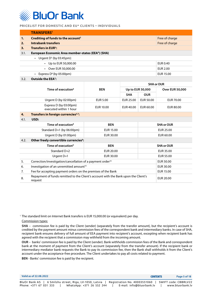<span id="page-4-0"></span>

|      | <b>TRANSFERS1</b>                                              |                   |
|------|----------------------------------------------------------------|-------------------|
| 1.   | Crediting of funds to the account <sup>2</sup>                 | Free of charge    |
| 2.   | Intrabank transfers                                            | Free of charge    |
| 3.   | <b>Transfers in EUR<sup>3</sup>:</b>                           |                   |
| 3.1. | European Economic Area member-states (EEA <sup>4</sup> ) (SHA) |                   |
|      | • Urgent $D^5$ (by 03:45pm):                                   |                   |
|      | $\cdot$ Up to EUR 50,000.00                                    | EUR 0.40          |
|      | • Over EUR 50,000.00                                           | <b>EUR 2.00</b>   |
|      | Express $D^6$ (by 05:00pm)<br>$\bullet$                        | EUR 15.00         |
| 3.2. | Outside the EEA <sup>7</sup> :                                 |                   |
|      |                                                                | <b>SHA or OUR</b> |

|      |                                                                                                |                  | <b>SHA Or OUR</b> |                  |                        |
|------|------------------------------------------------------------------------------------------------|------------------|-------------------|------------------|------------------------|
|      | Time of execution <sup>8</sup>                                                                 | <b>BEN</b>       | Up to EUR 50,000  |                  | <b>Over EUR 50,000</b> |
|      |                                                                                                |                  | <b>SHA</b>        | <b>OUR</b>       |                        |
|      | Urgent D (by 02:00pm)                                                                          | <b>EUR 5.00</b>  | EUR 25.00         | EUR 50.00        | EUR 70.00              |
|      | Express D (by 03:00pm)<br>executed within 1 hour                                               | <b>EUR 10.00</b> | EUR 40.00         | EUR 60.00        | EUR 80.00              |
| 4.   | Transfers in foreign currencies <sup>3,7</sup> :                                               |                  |                   |                  |                        |
| 4.1. | USD:                                                                                           |                  |                   |                  |                        |
|      | Time of execution <sup>8</sup>                                                                 | <b>BEN</b>       |                   |                  | <b>SHA or OUR</b>      |
|      | Standard D+1 (by 06:00pm)                                                                      | <b>EUR 15.00</b> |                   | <b>EUR 25.00</b> |                        |
|      | Urgent D (by 01:00pm)                                                                          | EUR 30.00        |                   | EUR 60.00        |                        |
| 4.2. | Other freely convertible currencies <sup>9</sup> :                                             |                  |                   |                  |                        |
|      | Time of execution <sup>8</sup>                                                                 | <b>BEN</b>       |                   |                  | <b>SHA or OUR</b>      |
|      | Standard D+2                                                                                   | EUR 20.00        |                   |                  | EUR 35.00              |
|      | Urgent D+1                                                                                     | EUR 30.00        |                   | <b>EUR 55.00</b> |                        |
| 5.   | Correction/investigation/cancellation of a payment order <sup>10</sup>                         |                  |                   | EUR 50.00        |                        |
| 6.   | Investigation of an unremitted amount <sup>10</sup>                                            |                  |                   | EUR 30.00        |                        |
| 7.   | Fee for accepting payment orders on the premises of the Bank                                   |                  |                   | <b>EUR 15.00</b> |                        |
| 8.   | Repayment of funds remitted to the Client's account with the Bank upon the Client's<br>request |                  |                   |                  | <b>EUR 20.00</b>       |

<sup>1</sup> The standard limit on Internet Bank transfers is EUR 15,000.00 (or equivalent) per day.

Commission types:

**SHA** – commission fee is paid by the Client (sender) (separately from the transfer amount), but the recipient's account is credited by the payment amount minus commission fees of the correspondent bank and intermediary banks. In case of SHA, recipient bank ensures delivery of full amount of EEA payment into recipient's account, excepting when recipient bank has agreed with the recipient that a commission may withheld from the incoming amount.

**OUR** – banks' commission fee is paid by the Client (sender). Bank withholds commission fees of the Bank and correspondent bank at the moment of payment from the Client's account (separately from the transfer amount). If the recipient bank or intermediary mediator bank requests the Bank to pay its commission fee, then the Bank shall withholds it from the Client's account under the acceptance-free procedure. The Client undertakes to pay all costs related to payment.

**BEN** - Banks' commission fee is paid by the recipient.

| Valid as of 22.08.2022                                                                                         | <b>CONTENTS</b>                                           | Page 5 of 18                             |
|----------------------------------------------------------------------------------------------------------------|-----------------------------------------------------------|------------------------------------------|
| BluOr Bank AS   6 Smilshu street, Riga, LV-1050, Latvia<br>WhatsApp: +371 26 552 244<br>Phone: +371 67 031 333 | Registration No. 40003551060<br>E-mail: info@bluorbank.lv | SWIFT code: CBBRLV22<br>www.bluorbank.lv |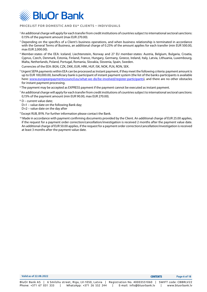

- 2 An additional charge will apply for each transfer from credit institutions of countries subject to international sectoral sanctions: 0.15% of the payment amount (max EUR 270.00).
- <sup>3</sup> Depending on the specifics of a Client's business operations, and when business relationship is terminated in accordance with the General Terms of Business, an additional charge of 0.25% of the amount applies for each transfer (min EUR 500.00, max EUR 2,000.00).
- <sup>4</sup> Member-states of the EEA: Iceland, Liechtenstein, Norway and 27 EU member-states: Austria, Belgium, Bulgaria, Croatia, Cyprus, Czech, Denmark, Estonia, Finland, France, Hungary, Germany, Greece, Ireland, Italy, Latvia, Lithuania, Luxembourg, Malta, Netherlands, Poland, Portugal, Romania, Slovakia, Slovenia, Spain, Sweden.

Currencies of the EEA: BGN, CZK, DKK, EUR, HRK, HUF, ISK, NOK, PLN, RON, SEK.

- $^5$  Urgent SEPA payments within EEA can be processed as Instant payment, if they meet the following criteria: payment amount is up to EUR 100,000.00, beneficiary bank is participant of instant payment system (the list of the banks-participants is available here: [www.europeanpaymentscouncil.eu/what-we-do/be-involved/register-participants](https://www.europeanpaymentscouncil.eu/what-we-do/be-involved/register-participants)), and there are no other obstacles for instant payment processing.
- 6 The payment may be accepted as EXPRESS payment if the payment cannot be executed as instant payment.
- 7 An additional charge will apply for each transfer from credit institutions of countries subject to international sectoral sanctions: 0,15% of the payment amount (min EUR 90.00, max EUR 270.00).
- $8$  D current value date:
- D+1 value date on the following Bank day;
- D+2 value date on the day after
- 9 Except RUB, BYN. For further information please contact the Bank.
- <sup>10</sup> Made in accordance with payment confirming documents provided by the Client. An additional charge of EUR 25.00 applies, if the request for a payment order correction/cancellation/investigation is received 2 months after the payment value date. An additional charge of EUR 50.00 applies, if the request for a payment order correction/cancellation/investigation is received at least 3 months after the payment value date.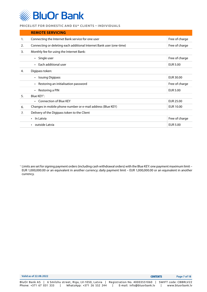<span id="page-6-0"></span>

|    | <b>REMOTE SERVICING</b>                                              |                  |
|----|----------------------------------------------------------------------|------------------|
| 1. | Connecting the Internet Bank service for one user                    | Free of charge   |
| 2. | Connecting or deleting each additional Internet Bank user (one-time) | Free of charge   |
| 3. | Monthly fee for using the Internet Bank:                             |                  |
|    | • Single user                                                        | Free of charge   |
|    | Each additional user<br>$\bullet$                                    | <b>EUR 5.00</b>  |
| 4. | Digipass token:                                                      |                  |
|    | <b>Issuing Digipass</b><br>$\bullet$                                 | EUR 30.00        |
|    | Restoring an initialisation password<br>$\bullet$                    | Free of charge   |
|    | Restoring a PIN<br>$\bullet$                                         | <b>EUR 5.00</b>  |
| 5. | Blue KEY <sup>1</sup> :                                              |                  |
|    | • Connection of Blue KEY                                             | EUR 25.00        |
| 6. | Changes in mobile phone number or e-mail address (Blue KEY)          | <b>EUR 10.00</b> |
| 7. | Delivery of the Digipass token to the Client                         |                  |
|    | In Latvia<br>$\bullet$                                               | Free of charge   |
|    | outside Latvia                                                       | <b>EUR 5.00</b>  |

<sup>1</sup> Limits are set for signing payment orders (including cash withdrawal orders) with the Blue KEY: one payment maximum limit – EUR 1,000,000.00 or an equivalent in another currency; daily payment limit – EUR 1,000,000.00 or an equivalent in another currency.

| Valid as of 22.08.2022                                  | <b>CONTENTS</b>                                      | Page 7 of 18     |
|---------------------------------------------------------|------------------------------------------------------|------------------|
| BluOr Bank AS   6 Smilshu street, Riga, LV-1050, Latvia | Registration No. 40003551060<br>SWIFT code: CBBRLV22 |                  |
| Phone: +371 67 031 333<br>WhatsApp: +371 26 552 244     | E-mail: info@bluorbank.lv                            | www.bluorbank.lv |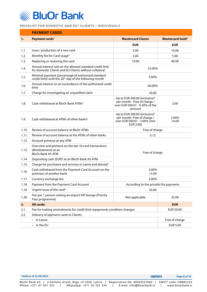<span id="page-7-0"></span>

|       | <b>PAYMENT CARDS</b>                                                                                                      |                                                                                                                       |                                    |  |
|-------|---------------------------------------------------------------------------------------------------------------------------|-----------------------------------------------------------------------------------------------------------------------|------------------------------------|--|
| 1.    | Payment cards <sup>1</sup>                                                                                                | <b>Mastercard Classic</b>                                                                                             | <b>Mastercard Gold<sup>2</sup></b> |  |
|       |                                                                                                                           | <b>EUR</b>                                                                                                            | <b>EUR</b>                         |  |
| 1.1.  | Issue / production of a new card                                                                                          | 5.00                                                                                                                  | 10.00                              |  |
| 1.2.  | Monthly fee for Card usage <sup>3</sup>                                                                                   | 3.00                                                                                                                  | 5.00                               |  |
| 1.3.  | Replacing or restoring the card                                                                                           | 10.00                                                                                                                 | 40.00                              |  |
| 1.4.  | Annual interest rate on the allowed standard credit limit<br>for domestic Clients and EU Clients without collateral       | 25.00%                                                                                                                |                                    |  |
| 1.5.  | Minimal payment (percentage of authorised standard<br>credit limit) until the 20 <sup>th</sup> day of the following month | 5.00%                                                                                                                 |                                    |  |
| 1.6.  | Annual interest on an exceedance of the authorised credit<br>limit                                                        | 60.00%                                                                                                                |                                    |  |
| 1.7.  | Charge for investigating an unjustified claim                                                                             | 20.00                                                                                                                 |                                    |  |
| 1.8.  | Cash withdrawal at BluOr Bank ATMs <sup>4</sup>                                                                           | Up to EUR 500.00 (inclusive) <sup>5</sup><br>per month - Free of charge /<br>over EUR 500.01 - 0.30% of the<br>amount | 2.00                               |  |
| 1.9.  | Cash withdrawal at ATMs of other banks <sup>4</sup>                                                                       | Up to EUR 500.00 (inclusive) <sup>5</sup><br>per month- Free of charge /<br>over EUR 500.01 - 2.00% (min<br>EUR 3.00) | 2.00%<br>$+4.00$                   |  |
| 1.10. | Review of account balance at BluOr ATMs                                                                                   | Free of charge                                                                                                        |                                    |  |
| 1.11. | Review of account balance at the ATMs of other banks                                                                      | 0.15                                                                                                                  |                                    |  |
| 1.12. | Account printout at any ATM                                                                                               |                                                                                                                       |                                    |  |
| 1.13. | Overview and printout on the last 10 card transactions<br>(MiniStatment) at an<br><b>BluOr Bank AS ATM</b>                | Free of charge                                                                                                        |                                    |  |
| 1.14. | Depositing cash (EUR) <sup>6</sup> at an BluOr Bank AS ATM                                                                |                                                                                                                       |                                    |  |
| 1.15. | Charge for purchases and services in Latvia and abroad <sup>7</sup>                                                       |                                                                                                                       |                                    |  |
| 1.16. | Cash withdrawal from the Payment Card Account on the<br>premises of another bank                                          | 3.00%<br>$+5.00$                                                                                                      |                                    |  |
| 1.17. | Currency exchange fee                                                                                                     | 3.00%                                                                                                                 |                                    |  |
| 1.18. | Payment from the Payment Card Account                                                                                     | According to the pricelist for payments                                                                               |                                    |  |
| 1.19. | Urgent issue of the card <sup>8</sup>                                                                                     | 20.00                                                                                                                 |                                    |  |
| 1.20. | Fee per 1 person visiting an airport VIP lounge (Priority<br>Pass programme)                                              | Not applicable<br>35.00                                                                                               |                                    |  |
| 2.    | <b>All cards:</b>                                                                                                         |                                                                                                                       | <b>EUR</b>                         |  |
| 2.1.  | Fee for making amendments for credit limit repayments condition changes                                                   |                                                                                                                       | EUR 50.00                          |  |
| 2.2.  | Delivery of payment cards to Clients:                                                                                     |                                                                                                                       |                                    |  |
|       | • In Latvia                                                                                                               |                                                                                                                       | Free of charge                     |  |
|       | $\cdot$ In the EU                                                                                                         | <b>EUR 5.00</b>                                                                                                       |                                    |  |

**Valid as of 22.08.2022 Page 8 of 18** CONTENTSBluOr Bank AS | 6 Smilshu street, Riga, LV-1050, Latvia | Registration No. 40003551060 | SWIFT code: CBBRLV22 Phone: +371 67 031 333 | WhatsApp: +371 26 552 244 | E-mail: info@bluorbank.lv | www.bluorbank.lv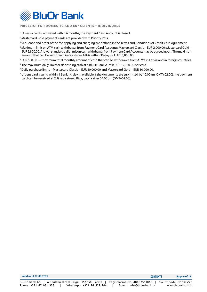

- <sup>1</sup> Unless a card is activated within 6 months, the Payment Card Account is closed.
- 2 Mastercard Gold payment cards are provided with Priority Pass.
- <sup>3</sup> Sequence and order of the fee applying and charging are defined in the Terms and Conditions of Credit Card Agreement.
- 4 Maximum limit on ATM cash withdrawal from Payment Card Accounts: Mastercard Classic EUR 2,000.00; Mastercard Gold EUR 2,800.00. A lower standard daily limit on cash withdrawal from Payment Card Accounts may be agreed upon. The maximum amount that can be withdrawn in cash from ATMs within 30 days is EUR 15,000.00.
- <sup>5</sup> EUR 500.00 maximum total monthly amount of cash that can be withdrawn from ATM's in Latvia and in foreign countries.
- <sup>6</sup> The maximum daily limit for depositing cash at a BluOr Bank ATM is EUR 15,000.00 per card.
- $^7$  Daily purchase limits Mastercard Classic EUR 30,000.00 and Mastercard Gold EUR 50,000.00.
- $^8$  Urgent card issuing within 1 Banking day is available if the documents are submitted by 10:00am (GMT+02:00); the payment card can be received at 2 Jēkaba street, Riga, Latvia after 04:00pm (GMT+02:00).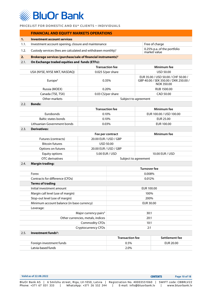<span id="page-9-0"></span>

|      | <b>FINANCIAL AND EQUITY MARKETS OPERATIONS</b>                            |                                                     |                        |                                                                                                   |                         |
|------|---------------------------------------------------------------------------|-----------------------------------------------------|------------------------|---------------------------------------------------------------------------------------------------|-------------------------|
| 1.   | <b>Investment account services</b>                                        |                                                     |                        |                                                                                                   |                         |
| 1.1. |                                                                           | Investment account opening, closure and maintenance |                        |                                                                                                   | Free of charge          |
| 1.2. | Custody services (fees are calculated and withdrawn monthly) <sup>1</sup> |                                                     | market value           | 0.25% p.a. of the portfolio                                                                       |                         |
| 2.   | Brokerage services (purchase/sale of financial instruments) <sup>2</sup>  |                                                     |                        |                                                                                                   |                         |
| 2.1. | On Exchange traded equities and funds (ETFs):                             |                                                     |                        |                                                                                                   |                         |
|      |                                                                           | <b>Transaction fee</b>                              |                        |                                                                                                   | Minimum fee             |
|      | USA (NYSE, NYSE MKT, NASDAQ)                                              | 0.025 \$/per share                                  |                        |                                                                                                   | <b>USD 50.00</b>        |
|      | Europe <sup>3</sup>                                                       | 0.35%                                               |                        | EUR 35.00 / USD 50.00 / CHF 50.00 /<br>GBP 40.00 / SEK 350.00 / DKK 250.00 /<br><b>NOK 350.00</b> |                         |
|      | Russia (MOEX)                                                             | 0.20%                                               |                        |                                                                                                   | RUB 1500.00             |
|      | Canada (TSE, TSX)                                                         | 0.03 C\$/per share                                  |                        |                                                                                                   | CAD 50.00               |
|      | Other markets                                                             |                                                     |                        | Subject to agreement                                                                              |                         |
| 2.2. | <b>Bonds:</b>                                                             |                                                     |                        |                                                                                                   |                         |
|      |                                                                           | <b>Transaction fee</b>                              |                        |                                                                                                   | Minimum fee             |
|      | <b>Furobonds</b>                                                          | 0.10%                                               |                        |                                                                                                   | EUR 100.00 / USD 100.00 |
|      | <b>Baltic states bonds</b>                                                | 0.10%                                               |                        |                                                                                                   | EUR 25.00               |
|      | Lithuanian Government bonds                                               | 0.03%                                               |                        | EUR 100.00                                                                                        |                         |
| 2.3. | <b>Derivatives:</b>                                                       |                                                     |                        |                                                                                                   |                         |
|      |                                                                           | Fee per contract                                    |                        |                                                                                                   | Minimum fee             |
|      | Futures (contracts)                                                       | 20.00 EUR / USD / GBP                               |                        |                                                                                                   |                         |
|      | <b>Bitcoin futures</b>                                                    | <b>USD 50.00</b>                                    |                        |                                                                                                   |                         |
|      | Options on futures                                                        | 20.00 EUR / USD / GBP                               |                        |                                                                                                   |                         |
|      | <b>Equity options</b>                                                     | 5.00 EUR / USD                                      |                        |                                                                                                   | 10.00 EUR / USD         |
|      | <b>OTC</b> derivatives                                                    |                                                     |                        | Subject to agreement                                                                              |                         |
| 2.4. | <b>Margin trading:</b>                                                    |                                                     |                        |                                                                                                   |                         |
|      |                                                                           |                                                     | <b>Turnover fee</b>    |                                                                                                   |                         |
|      | Forex                                                                     |                                                     | 0.008%                 |                                                                                                   |                         |
|      | Contracts for difference (CFDs)                                           |                                                     | 0.012%                 |                                                                                                   |                         |
|      | <b>Terms of trading</b>                                                   |                                                     |                        |                                                                                                   |                         |
|      | Initial investment amount                                                 |                                                     | EUR 100.00<br>100%     |                                                                                                   |                         |
|      | Margin call level (use of margin)                                         |                                                     |                        |                                                                                                   |                         |
|      | Stop-out level (use of margin)                                            |                                                     |                        | 200%                                                                                              |                         |
|      | Minimum account balance (in base currency)                                |                                                     | EUR 30.00<br>30:1      |                                                                                                   |                         |
|      | Leverage:                                                                 |                                                     |                        |                                                                                                   |                         |
|      |                                                                           | Major currency pairs <sup>4</sup>                   |                        |                                                                                                   |                         |
|      |                                                                           | Other currencies, metals, indices                   |                        | 20:1                                                                                              |                         |
|      |                                                                           | <b>Commodity CFDs</b>                               | 10:1                   |                                                                                                   |                         |
|      |                                                                           | Cryptocurrency CFDs                                 |                        | 2:1                                                                                               |                         |
| 2.5. | Investment funds <sup>5</sup> :                                           |                                                     |                        |                                                                                                   |                         |
|      |                                                                           |                                                     | <b>Transaction fee</b> |                                                                                                   | Settlement fee          |
|      | Foreign investment funds                                                  |                                                     | 0.5%                   |                                                                                                   | <b>EUR 20.00</b>        |
|      | Latvia-based funds                                                        |                                                     | 2.0%                   |                                                                                                   |                         |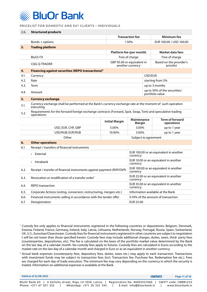

| 2.6. | <b>Structured products</b>                                                                                                |                          |                                                    |                                                                    |                                                 |
|------|---------------------------------------------------------------------------------------------------------------------------|--------------------------|----------------------------------------------------|--------------------------------------------------------------------|-------------------------------------------------|
|      |                                                                                                                           |                          | <b>Transaction fee</b>                             |                                                                    | Minimum fee                                     |
|      | Bonds + options                                                                                                           |                          | 1.50%                                              |                                                                    | EUR 100.00 / USD 100.00                         |
| 3.   | <b>Trading platform</b>                                                                                                   |                          |                                                    |                                                                    |                                                 |
|      |                                                                                                                           | Platform fee (per month) |                                                    |                                                                    | Market data fees                                |
|      | <b>BluOr FX</b>                                                                                                           |                          | Free of charge                                     |                                                                    | Free of charge                                  |
|      | <b>COG O-TRADER</b>                                                                                                       |                          | another currency                                   | GBP 95.00 or equivalent in<br>Based on the provider's<br>pricelist |                                                 |
| 4.   | Financing against securities (REPO transactions) <sup>6</sup>                                                             |                          |                                                    |                                                                    |                                                 |
| 4.1. | Currency                                                                                                                  |                          |                                                    | USD/EUR                                                            |                                                 |
| 4.2. | Rate                                                                                                                      |                          |                                                    |                                                                    | starting from 5%                                |
| 4.3. | Term                                                                                                                      |                          |                                                    |                                                                    | up to 3 months                                  |
| 4.4. | Amount                                                                                                                    |                          |                                                    |                                                                    | up to 50% of the securities/<br>portfolio value |
| 5.   | <b>Currency exchange</b>                                                                                                  |                          |                                                    |                                                                    |                                                 |
| 5.1. | Currency exchange shall be performed at the Bank's currency exchange rate at the moment of such operation<br>executing.   |                          |                                                    |                                                                    |                                                 |
| 5.2. | Requirements for the forward foreign exchange contracts (Forward, Spot, Swap, Tom) and speculative trading<br>operations: |                          |                                                    |                                                                    |                                                 |
|      |                                                                                                                           | <b>Initial Margin</b>    | Maintenance<br>Margin                              |                                                                    | <b>Term of forward</b><br>operations            |
|      | USD, EUR, CHF, GBP                                                                                                        | 5.00%                    | 3.00%                                              |                                                                    | up to 1 year                                    |
|      | USD/RUB; EUR/RUB                                                                                                          | 10.00%                   | 3.00%                                              |                                                                    | up to 1 year                                    |
|      | Other                                                                                                                     |                          | Subject to agreement                               |                                                                    |                                                 |
| 6.   | <b>Other operations</b>                                                                                                   |                          |                                                    |                                                                    |                                                 |
| 6.1. | Receipt / transfers of financial instruments                                                                              |                          |                                                    |                                                                    |                                                 |
|      | • External                                                                                                                |                          | currency                                           |                                                                    | EUR 100.00 or an equivalent in another          |
|      | $\cdot$ Intrabank                                                                                                         |                          | currency                                           |                                                                    | EUR 10.00 or an equivalent in another           |
| 6.2. | Receipt / transfer of financial instruments against payment (RVP/DVP)                                                     |                          | EUR 100.00 or an equivalent in another<br>currency |                                                                    |                                                 |
| 6.3. | Revocation or modification of a transfer order <sup>7</sup>                                                               |                          | EUR 25.00 or an equivalent in another<br>currency  |                                                                    |                                                 |
| 6.4. | <b>REPO</b> transaction                                                                                                   |                          | EUR 35.00 or an equivalent in another<br>currency  |                                                                    |                                                 |
| 6.5. | Corporate Actions (voting, conversion, restructuring, mergers etc.)                                                       |                          | Information available at the Bank                  |                                                                    |                                                 |
| 6.6. | Financial instruments selling in accordance with the tender offer                                                         |                          | 0.10% of the amount of transaction                 |                                                                    |                                                 |
|      |                                                                                                                           |                          |                                                    |                                                                    |                                                 |

<sup>2</sup> Actual bank expenses (counterparty fees, depository fees, duties, taxes etc.) may apply to each transaction. Transactions with investment funds may be subject to transaction fees (incl. Transaction fee, Purchase fee, Redemption fee etc.). Fees are charged for each day of trade execution. The minimum fee may vary depending on the currency in which the security is traded. Information on additional expenses is available at the Bank.

| Valid as of 22.08.2022                                                                                             | <b>CONTENTS</b>                                           | Page 11 of 18                            |
|--------------------------------------------------------------------------------------------------------------------|-----------------------------------------------------------|------------------------------------------|
| BluOr Bank AS       6 Smilshu street, Riga, LV-1050, Latvia<br>Phone: +371 67 031 333<br>WhatsApp: +371 26 552 244 | Registration No. 40003551060<br>E-mail: info@bluorbank.lv | SWIFT code: CBBRLV22<br>www.bluorbank.lv |

<sup>1</sup> Custody fee only applies to financial instruments registered in the following countries or depositories: Belgium, Denmark, Estonia, Finland, France, Germany, Ireland, Italy, Latvia, Lithuania, Netherlands, Norway, Portugal, Russia, Spain, Switzerland, UK, U.S., Euroclear/Clearstream. Custody fees for financial instruments registered in other countries are subject to negotiation t will be not lower than those specified herein. Custody fees may include additional charges, duties, taxes, third- party fees (counterparties, depositories, etc). The fee is calculated on the basis of the portfolio market value determined by the Bank on the last day of a calendar month. No custody fees apply to futures. Custody fees are calculated in Euros according to the market rate on the last day of a calendar month and charged in Euro or as an equivalent in another currency.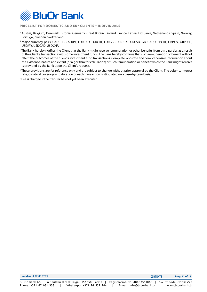

- 3 Austria, Belgium, Denmark, Estonia, Germany, Great Britain, Finland, France, Latvia, Lithuania, Netherlands, Spain, Norway, Portugal, Sweden, Switzerland.
- 4 Major currency pairs: CADCHF, CADJPY, EURCAD, EURCHF, EURGBP, EURJPY, EURUSD, GBPCAD, GBPCHF, GBPJPY, GBPUSD, USDJPY, USDCAD, USDCHF.
- $^5$  The Bank hereby notifies the Client that the Bank might receive remuneration or other benefits from third parties as a result of the Client's transactions with some investment funds. The Bank hereby confirms that such remuneration or benefit will not affect the outcomes of the Client's investment fund transactions. Complete, accurate and comprehensive information about the existence, nature and extent (or algorithm for calculation) of such remuneration or benefit which the Bank might receive is provided by the Bank upon the Client's request.
- 6 These provisions are for reference only and are subject to change without prior approval by the Client. The volume, interest rate, collateral coverage and duration of each transaction is stipulated on a case-by-case basis.
- $^7$  Fee is charged if the transfer has not yet been executed.

| Valid as of 22.08.2022                                  | <b>CONTENTS</b>                                     | Page 12 of 18    |
|---------------------------------------------------------|-----------------------------------------------------|------------------|
| BluOr Bank AS   6 Smilshu street, Riga, LV-1050, Latvia | Registration No. 40003551060   SWIFT code: CBBRLV22 |                  |
| Phone: +371 67 031 333<br>WhatsApp: +371 26 552 244     | E-mail: info@bluorbank.lv                           | www.bluorbank.lv |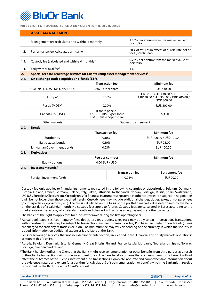<span id="page-12-0"></span>

|      | <b>ASSET MANAGEMENT</b>                                                                      |                                                                                    |    |                                                                                                   |  |
|------|----------------------------------------------------------------------------------------------|------------------------------------------------------------------------------------|----|---------------------------------------------------------------------------------------------------|--|
| 1.1. | Management fee (calculated and withheld monthly)                                             |                                                                                    |    | 1.50% per annum from the market value of<br>portfolio                                             |  |
| 1.2. | Performance fee (calculated annually)                                                        |                                                                                    |    | 20% of returns in excess of hurdle rate net of<br>fees (benchmark)                                |  |
| 1.3. | Custody fee (calculated and withheld monthly) <sup>1</sup>                                   |                                                                                    |    | 0.25% per annum from the market value of<br>portfolio                                             |  |
| 1.4. | Early withdrawal fee <sup>2</sup>                                                            |                                                                                    | 1% |                                                                                                   |  |
| 2.   | Special fees for brokerage services for Clients using asset management services <sup>3</sup> |                                                                                    |    |                                                                                                   |  |
| 2.1. | On exchange traded equities and funds (ETFs):                                                |                                                                                    |    |                                                                                                   |  |
|      |                                                                                              | Minimum fee<br><b>Transaction fee</b>                                              |    |                                                                                                   |  |
|      | USA (NYSE, NYSE MKT, NASDAQ)                                                                 | $0.025$ \$/per share                                                               |    | <b>USD 30.00</b>                                                                                  |  |
|      | Europe $4$                                                                                   | 0.35%                                                                              |    | EUR 30.00 / USD 30.00 / CHF 30.00 /<br>GBP 30.00 / SEK 300.00 / DKK 200.00 /<br><b>NOK 300.00</b> |  |
|      | Russia (MOEX)                                                                                | 0.20%                                                                              |    | <b>RUB 500.00</b>                                                                                 |  |
|      | Canada (TSE, TSX)                                                                            | If share price is:<br>$<$ 5C\$ - 0.015C\$/per share<br>> 5C\$ - 0.03 C\$/per share |    | CAD <sub>30</sub>                                                                                 |  |
|      | Other markets                                                                                | Subject to agreement                                                               |    |                                                                                                   |  |
| 2.2. | <b>Bonds</b>                                                                                 |                                                                                    |    |                                                                                                   |  |
|      |                                                                                              | <b>Transaction fee</b>                                                             |    | Minimum fee                                                                                       |  |
|      | Eurobonds                                                                                    | 0.10%                                                                              |    | EUR 100.00 / USD 100.00                                                                           |  |
|      | <b>Baltic states bonds</b>                                                                   | 0.10%                                                                              |    | EUR 25.00                                                                                         |  |

|      | Lithuanian Government bonds   | 0.03%                  | EUR 100.00     |
|------|-------------------------------|------------------------|----------------|
| 2.3. | <b>Derivatives</b>            |                        |                |
|      |                               | Fee per contract       | Minimum fee    |
|      | Equity options                | 4.00 EUR / USD         |                |
| 2.4. | Investment funds <sup>5</sup> |                        |                |
|      |                               | <b>Transaction fee</b> | Settlement fee |
|      | Foreign investment funds      | 0.25%                  | EUR 20.00      |

1 Custody fee only applies to financial instruments registered in the following countries or depositories: Belgium, Denmark, Estonia, Finland, France, Germany, Ireland, Italy, Latvia, Lithuania, Netherlands, Norway, Portugal, Russia, Spain, Switzerland, UK, U.S., Euroclear/Clearstream. Custody fees for financial instruments registered in other countries are subject to negotiation t will be not lower than those specified herein. Custody fees may include additional charges, duties, taxes, third- party fees (counterparties, depositories, etc). The fee is calculated on the basis of the portfolio market value determined by the Bank on the last day of a calendar month. No custody fees apply to futures. Custody fees are calculated in Euros according to the market rate on the last day of a calendar month and charged in Euro or as an equivalent in another currency.

- 2 The Bank has the right to apply fees for funds withdrawn during the first operating year.
- <sup>3</sup> Actual bank expenses (counterparty fees, depository fees, duties, taxes etc.) may apply to each transaction. Transactions with investment funds may be subject to transaction fees (incl. Transaction fee, Purchase fee, Redemption fee etc.). Fees are charged for each day of trade execution. The minimum fee may vary depending on the currency in which the security is traded. Information on additional expenses is available at the Bank.

Fees for brokerage services, that not included in this sub-section, are defined in the "Financial and equity markets operations" section of this Pricelist.

- 4 Austria, Belgium, Denmark, Estonia, Germany, Great Britain, Finland, France, Latvia, Lithuania, Netherlands, Spain, Norway, Portugal, Sweden, Switzerland.
- $^5$  The Bank hereby notifies the Client that the Bank might receive remuneration or other benefits from third parties as a result of the Client's transactions with some investment funds. The Bank hereby confirms that such remuneration or benefit will not affect the outcomes of the Client's investment fund transactions. Complete, accurate and comprehensive information about the existence, nature and extent (or algorithm for calculation) of such remuneration or benefit which the Bank might receive is provided by the Bank upon the Client's request.

| Valid as of 22.08.2022                                                                                         | <b>CONTENTS</b>                                           | Page 13 of 18                            |
|----------------------------------------------------------------------------------------------------------------|-----------------------------------------------------------|------------------------------------------|
| BluOr Bank AS   6 Smilshu street, Riga, LV-1050, Latvia<br>Phone: +371 67 031 333<br>WhatsApp: +371 26 552 244 | Registration No. 40003551060<br>E-mail: info@bluorbank.lv | SWIFT code: CBBRLV22<br>www.bluorbank.lv |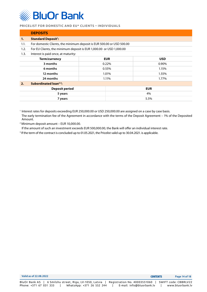<span id="page-13-0"></span>

|      | <b>DEPOSITS</b>                                                       |                |       |            |  |
|------|-----------------------------------------------------------------------|----------------|-------|------------|--|
| 1.   | <b>Standard Deposit1:</b>                                             |                |       |            |  |
| 1.1. | For domestic Clients, the minimum deposit is EUR 500.00 or USD 500.00 |                |       |            |  |
| 1.2. | For EU Clients, the minimum deposit is EUR 1,000.00 or USD 1,000.00   |                |       |            |  |
| 1.3. | Interest is paid once, at maturity:                                   |                |       |            |  |
|      | <b>Term/currency</b><br><b>EUR</b><br><b>USD</b>                      |                |       |            |  |
|      | 3 months                                                              |                | 0.22% | 0.90%      |  |
|      | 6 months                                                              | 0.55%<br>1.15% |       |            |  |
|      | 12 months                                                             |                | 1.01% | 1.55%      |  |
|      | 24 months                                                             |                | 1.11% | 1.77%      |  |
| 2.   | Subordinated loan <sup>2,3</sup> :                                    |                |       |            |  |
|      | <b>Deposit period</b>                                                 |                |       | <b>EUR</b> |  |
|      | 5 years                                                               |                |       | 4%         |  |
|      | 7 years                                                               |                |       | 5.5%       |  |

<sup>1</sup> Interest rates for deposits exceeding EUR 250,000.00 or USD 250,000.00 are assigned on a case by case basis. The early termination fee of the Agreement in accordance with the terms of the Deposit Agreement – 1% of the Deposited Amount.

2 Minimum deposit amount – EUR 10,000.00.

If the amount of such an investment exceeds EUR 500,000.00, the Bank will offer an individual interest rate.

3 If the term of the contract is concluded up to 01.05.2021, the Pricelist valid up to 30.04.2021. is applicable.

| Valid as of 22.08.2022                                  | <b>CONTENTS</b>              | Page 14 of 18        |
|---------------------------------------------------------|------------------------------|----------------------|
| BluOr Bank AS   6 Smilshu street, Riga, LV-1050, Latvia | Registration No. 40003551060 | SWIFT code: CBBRLV22 |
| Phone: +371 67 031 333<br>WhatsApp: +371 26 552 244     | E-mail: info@bluorbank.lv    | www.bluorbank.lv     |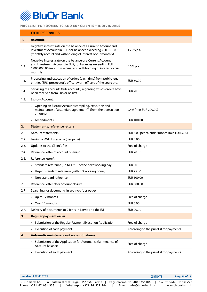<span id="page-14-0"></span>

## **OTHER SERVICES 1. Accounts** 1.1. Negative interest rate on the balance of a Current Account and Investment Account in CHF, for balances exceeding CHF 100,000.00 (monthly accrual and withholding of interest occur monthly) 1.25% p.a. 1.2. Negative interest rate on the balance of a Current Account and Investment Account in EUR, for balances exceeding EUR 1 000,000.00 (monthly accrual and withholding of interest occur monthly) 0.5% p.a. 1.3. Processing and execution of orders (each time) from public legal entities (SRS, prosecutor's office, sworn officers of the court etc.) EUR 50.00 1.4. Servicing of accounts (sub-accounts) regarding which orders have been received from SRS or bailiffs Separation of the counter State EUR 20.00 1.5. Escrow Account: • Opening an Escrow Account (compiling, execution and maintenance of a standard agreement) $1$  (from the transaction amount) 0.4% (min EUR 200.00) • Amendments **EUR 100.00 2. Statements, reference letters** 2.1. Account statements<sup>2</sup> and the statements<sup>2</sup> EUR 5.00 per calendar month (min EUR 5.00) 2.2. Issuing a SWIFT message (per page) The COME of the State of the State of the State of the State of the State of the State of the State of the State of the State of the State of the State of the State of the State of t 2.3. Updates to the Client's file Free of charge Free of charge 2.4. Reference letter of account opening example and the EUR 20.00 2.5. Reference letter<sup>3</sup>: • Standard reference (up to 12:00 of the next working day) EUR 50.00 • Urgent standard reference (within 3 working hours) EUR 75.00 • Non-standard reference EUR 100.00 2.6. Reference letter after account closure EUR 500.00 2.7. Searching for documents in archives (per page): • Up to 12 months Free of charge • Over 12 months EUR 5.00 2.8. Delivery of documents to Clients in Latvia and the EU EUR 20.00 **3. Regular payment order** • Submission of the Regular Payment Execution Application Free of charge • Execution of each payment **According to the pricelist for payments 4. Automatic maintenance of account balance** • Submission of the Application for Automatic Maintenance of Balance Free of charge Account Balance • Execution of each payment **According to the pricelist for payments**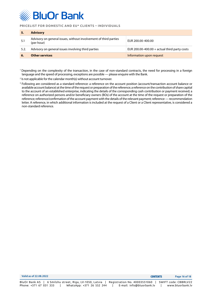

|      | <b>Advisory</b>                                                                |                                              |
|------|--------------------------------------------------------------------------------|----------------------------------------------|
| -5.1 | Advisory on general issues, without involvement of third parties<br>(per hour) | EUR 200.00-400.00                            |
| 5.2. | Advisory on general issues involving third parties                             | EUR 200.00-400.00 + actual third party costs |
|      | <b>Other services</b>                                                          | Information upon request                     |

1 Depending on the complexity of the transaction, in the case of non-standard contracts, the need for processing in a foreign language and the speed of processing, exceptions are possible — please enquire with the Bank.

<sup>2</sup> Is not applicable for the calendar month(s) without account turnover.

3 Following are considered as a standard reference: a reference on the account position (account/transaction account balance or available account balance) at the time of the request or preparation of the reference; a reference on the contribution of share capital to the account of an established enterprise, indicating the details of the corresponding cash contribution or payment received; a reference on authorized persons and/or beneficiary owners (BOs) of the account at the time of the request or preparation of the reference; reference/confirmation of the account payment with the details of the relevant payment; reference — recommendation letter. A reference, in which additional information is included at the request of a Client or a Client representative, is considered a non-standard reference.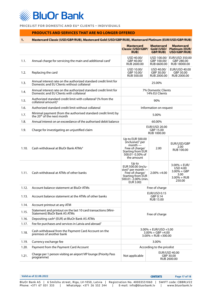<span id="page-16-0"></span>**BluOr Bank** 

**PRICELIST FOR DOMESTIC AND EU\* CLIENTS – INDIVIDUALS**

## **PRODUCTS AND SERVICES THAT ARE NO LONGER OFFERED**

## **1. Mastercard Classic (USD/GBP/RUB), Mastercard Gold (USD/GBP/RUB), Mastercard Platinum (EUR/USD/GBP/RUB)**

|       |                                                                                                                | <b>Mastercard</b><br><b>Classic (USD/GBP/</b><br><b>RUB)</b>                                                                                      | <b>Mastercard</b><br>Gold (USD/<br><b>GBP/RUB)</b>                           | <b>Mastercard</b><br><b>Platinum (EUR/</b><br>USD/GBP/RUB)                      |
|-------|----------------------------------------------------------------------------------------------------------------|---------------------------------------------------------------------------------------------------------------------------------------------------|------------------------------------------------------------------------------|---------------------------------------------------------------------------------|
| 1.1.  | Annual charge for servicing the main and additional card <sup>1</sup>                                          | USD 40.00/<br>GBP 40.00/<br>RUB 2600.00                                                                                                           | USD 100.00/<br>GBP 100.00/<br>RUB 6600.00                                    | EUR/USD 350.00<br>GBP 280.00<br>RUB 18000.00                                    |
| 1.2.  | Replacing the card                                                                                             | USD 10.00/<br>GBP 10.00/<br><b>RUB 500.00</b>                                                                                                     | USD 40.00/<br>GBP 30.00/<br>RUB 2000.00                                      | EUR/USD 40.00<br>GBP 30.00<br>RUB 2000.00                                       |
| 1.3.  | Annual interest rate on the authorized standard credit limit for<br>Domestic and EU Clients without collateral |                                                                                                                                                   | 25.00%                                                                       |                                                                                 |
| 1.4.  | Annual interest rate on the authorized standard credit limit for<br>Domestic and EU Clients with collateral    |                                                                                                                                                   | 7% Domestic Clients<br>14% EU Clients                                        |                                                                                 |
| 1.5.  | Authorized standard credit limit with collateral <sup>2</sup> (% from the<br>collateral amount) $3$            |                                                                                                                                                   | 90%                                                                          |                                                                                 |
| 1.6.  | Authorized standard credit limit without collateral                                                            |                                                                                                                                                   | Information on request                                                       |                                                                                 |
| 1.7.  | Minimal payment (from the authorised standard credit limit) by<br>the 20 <sup>th</sup> of the next month       |                                                                                                                                                   | 5.00%                                                                        |                                                                                 |
| 1.8.  | Annual interest on an exceedance of the authorised debit balance                                               |                                                                                                                                                   | 60.00%                                                                       |                                                                                 |
| 1.9.  | Charge for investigating an unjustified claim                                                                  |                                                                                                                                                   | EUR/USD 20.00<br>GBP 15.00<br>RUB 1000.00                                    |                                                                                 |
| 1.10. | Cash withdrawal at BluOr Bank ATMs <sup>4</sup>                                                                | Up to EUR 500.00<br>(inclusive) <sup>5</sup> per<br>$month -$<br>Free of charge/<br>Starting from EUR<br>500.01 - 0.30% of<br>the amount          | 2.00                                                                         | EUR/USD/GBP<br>2.00<br>RUB 100.00                                               |
| 1.11. | Cash withdrawal at ATMs of other banks                                                                         | Up to<br><b>EUR 500.00 (inclu-</b><br>sive) <sup>5</sup> per month $-$<br>Free of charge/<br>Starting from EUR<br>500.01-2.00% (min.<br>EUR 3.00) | $2.00\% +4.00$                                                               | $3.00\% + EUR/$<br>USD 4.00<br>$3.00% + GBP$<br>3.00<br>$3.00% + RUB$<br>250.00 |
| 1.12. | Account balance statement at BluOr ATMs                                                                        |                                                                                                                                                   | Free of charge                                                               |                                                                                 |
| 1.13. | Account balance statement at the ATMs of other banks                                                           |                                                                                                                                                   | <b>EUR/USD 0.15</b><br>GBP 0.14<br><b>RUB 15.00</b>                          |                                                                                 |
| 1.14. | Account printout at any ATM                                                                                    |                                                                                                                                                   |                                                                              |                                                                                 |
| 1.15. | Statement and printout on the last 10 card transactions (Mini-<br>Statement) BluOr Bank AS ATMs                |                                                                                                                                                   | Free of charge                                                               |                                                                                 |
| 1.16. | Depositing cash <sup>6</sup> (EUR) at BluOr Bank AS ATMs                                                       |                                                                                                                                                   |                                                                              |                                                                                 |
| 1.17. | Fee for purchases and services in Latvia and abroad7                                                           |                                                                                                                                                   |                                                                              |                                                                                 |
| 1.18. | Cash withdrawal from the Payment Card Account on the<br>premises of another bank                               |                                                                                                                                                   | $3.00\% + EUR/USD +5.00$<br>$3.00\% + GBP + 4.00$<br>$3.00\% + RUB + 300.00$ |                                                                                 |
| 1.19. | Currency exchange fee                                                                                          |                                                                                                                                                   | 3.00%                                                                        |                                                                                 |
| 1.20. | Payment from the Payment Card Account                                                                          |                                                                                                                                                   | According to the pricelist                                                   |                                                                                 |
| 1.21. | Charge per 1 person visiting an airport VIP lounge (Priority Pass<br>programme)                                | Not applicable                                                                                                                                    |                                                                              | EUR/USD 40.00<br>GBP 30.00<br>RUB 2600.00                                       |

| Valid as of 22.08.2022                                                                                        | <b>CONTENTS</b><br>Page 17 of 18              |
|---------------------------------------------------------------------------------------------------------------|-----------------------------------------------|
| BluOr Bank AS 「 6 Smilshu street, Riga, LV-1050, Latvia 「 Registration No. 40003551060 「 SWIFT code: CBBRLV22 |                                               |
| Phone: +371 67 031 333<br>WhatsApp: +371 26 552 244                                                           | www.bluorbank.lv<br>E-mail: info@bluorbank.lv |